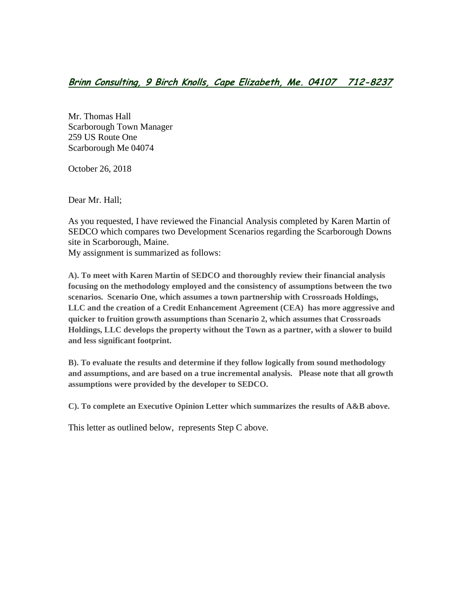Mr. Thomas Hall Scarborough Town Manager 259 US Route One Scarborough Me 04074

October 26, 2018

Dear Mr. Hall;

As you requested, I have reviewed the Financial Analysis completed by Karen Martin of SEDCO which compares two Development Scenarios regarding the Scarborough Downs site in Scarborough, Maine.

My assignment is summarized as follows:

**A). To meet with Karen Martin of SEDCO and thoroughly review their financial analysis focusing on the methodology employed and the consistency of assumptions between the two scenarios. Scenario One, which assumes a town partnership with Crossroads Holdings, LLC and the creation of a Credit Enhancement Agreement (CEA) has more aggressive and quicker to fruition growth assumptions than Scenario 2, which assumes that Crossroads Holdings, LLC develops the property without the Town as a partner, with a slower to build and less significant footprint.** 

**B). To evaluate the results and determine if they follow logically from sound methodology and assumptions, and are based on a true incremental analysis. Please note that all growth assumptions were provided by the developer to SEDCO.** 

**C). To complete an Executive Opinion Letter which summarizes the results of A&B above.**

This letter as outlined below, represents Step C above.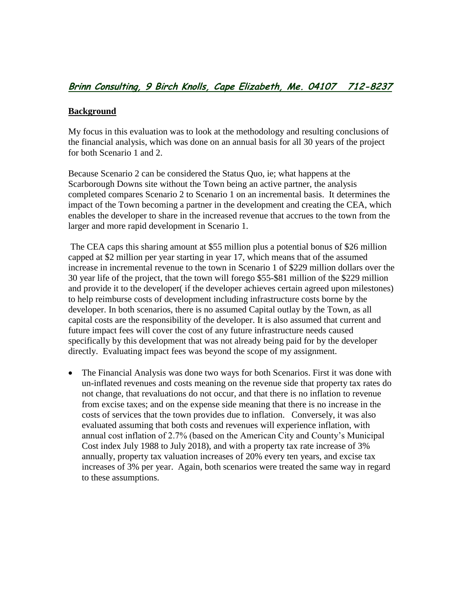### **Background**

My focus in this evaluation was to look at the methodology and resulting conclusions of the financial analysis, which was done on an annual basis for all 30 years of the project for both Scenario 1 and 2.

Because Scenario 2 can be considered the Status Quo, ie; what happens at the Scarborough Downs site without the Town being an active partner, the analysis completed compares Scenario 2 to Scenario 1 on an incremental basis. It determines the impact of the Town becoming a partner in the development and creating the CEA, which enables the developer to share in the increased revenue that accrues to the town from the larger and more rapid development in Scenario 1.

The CEA caps this sharing amount at \$55 million plus a potential bonus of \$26 million capped at \$2 million per year starting in year 17, which means that of the assumed increase in incremental revenue to the town in Scenario 1 of \$229 million dollars over the 30 year life of the project, that the town will forego \$55-\$81 million of the \$229 million and provide it to the developer( if the developer achieves certain agreed upon milestones) to help reimburse costs of development including infrastructure costs borne by the developer. In both scenarios, there is no assumed Capital outlay by the Town, as all capital costs are the responsibility of the developer. It is also assumed that current and future impact fees will cover the cost of any future infrastructure needs caused specifically by this development that was not already being paid for by the developer directly. Evaluating impact fees was beyond the scope of my assignment.

• The Financial Analysis was done two ways for both Scenarios. First it was done with un-inflated revenues and costs meaning on the revenue side that property tax rates do not change, that revaluations do not occur, and that there is no inflation to revenue from excise taxes; and on the expense side meaning that there is no increase in the costs of services that the town provides due to inflation. Conversely, it was also evaluated assuming that both costs and revenues will experience inflation, with annual cost inflation of 2.7% (based on the American City and County's Municipal Cost index July 1988 to July 2018), and with a property tax rate increase of 3% annually, property tax valuation increases of 20% every ten years, and excise tax increases of 3% per year. Again, both scenarios were treated the same way in regard to these assumptions.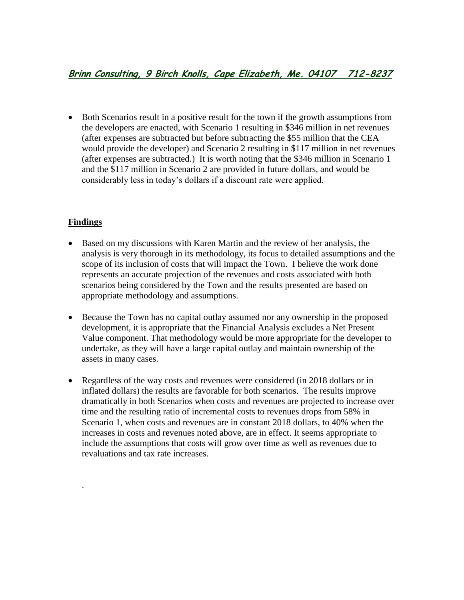Both Scenarios result in a positive result for the town if the growth assumptions from the developers are enacted, with Scenario 1 resulting in \$346 million in net revenues (after expenses are subtracted but before subtracting the \$55 million that the CEA would provide the developer) and Scenario 2 resulting in \$117 million in net revenues (after expenses are subtracted.) It is worth noting that the \$346 million in Scenario 1 and the \$117 million in Scenario 2 are provided in future dollars, and would be considerably less in today's dollars if a discount rate were applied.

### **Findings**

.

- Based on my discussions with Karen Martin and the review of her analysis, the analysis is very thorough in its methodology, its focus to detailed assumptions and the scope of its inclusion of costs that will impact the Town. I believe the work done represents an accurate projection of the revenues and costs associated with both scenarios being considered by the Town and the results presented are based on appropriate methodology and assumptions.
- Because the Town has no capital outlay assumed nor any ownership in the proposed development, it is appropriate that the Financial Analysis excludes a Net Present Value component. That methodology would be more appropriate for the developer to undertake, as they will have a large capital outlay and maintain ownership of the assets in many cases.
- Regardless of the way costs and revenues were considered (in 2018 dollars or in inflated dollars) the results are favorable for both scenarios. The results improve dramatically in both Scenarios when costs and revenues are projected to increase over time and the resulting ratio of incremental costs to revenues drops from 58% in Scenario 1, when costs and revenues are in constant 2018 dollars, to 40% when the increases in costs and revenues noted above, are in effect. It seems appropriate to include the assumptions that costs will grow over time as well as revenues due to revaluations and tax rate increases.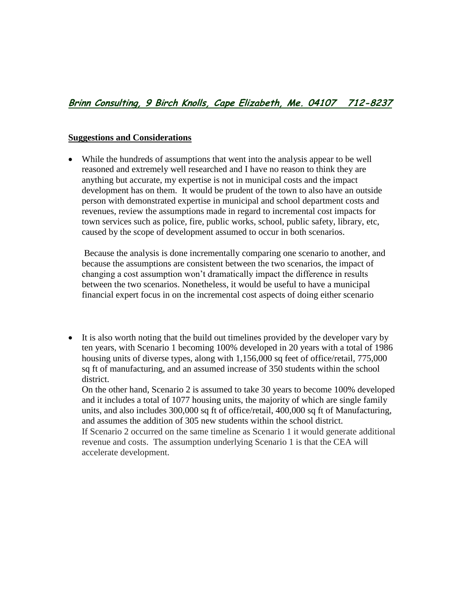### **Suggestions and Considerations**

 While the hundreds of assumptions that went into the analysis appear to be well reasoned and extremely well researched and I have no reason to think they are anything but accurate, my expertise is not in municipal costs and the impact development has on them. It would be prudent of the town to also have an outside person with demonstrated expertise in municipal and school department costs and revenues, review the assumptions made in regard to incremental cost impacts for town services such as police, fire, public works, school, public safety, library, etc, caused by the scope of development assumed to occur in both scenarios.

Because the analysis is done incrementally comparing one scenario to another, and because the assumptions are consistent between the two scenarios, the impact of changing a cost assumption won't dramatically impact the difference in results between the two scenarios. Nonetheless, it would be useful to have a municipal financial expert focus in on the incremental cost aspects of doing either scenario

• It is also worth noting that the build out timelines provided by the developer vary by ten years, with Scenario 1 becoming 100% developed in 20 years with a total of 1986 housing units of diverse types, along with 1,156,000 sq feet of office/retail, 775,000 sq ft of manufacturing, and an assumed increase of 350 students within the school district.

On the other hand, Scenario 2 is assumed to take 30 years to become 100% developed and it includes a total of 1077 housing units, the majority of which are single family units, and also includes 300,000 sq ft of office/retail, 400,000 sq ft of Manufacturing, and assumes the addition of 305 new students within the school district. If Scenario 2 occurred on the same timeline as Scenario 1 it would generate additional revenue and costs. The assumption underlying Scenario 1 is that the CEA will accelerate development.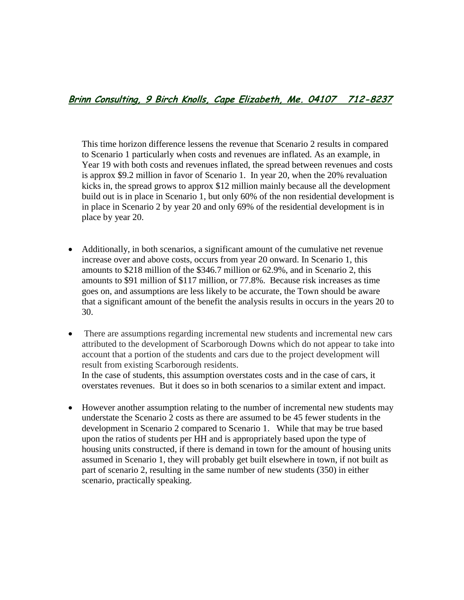This time horizon difference lessens the revenue that Scenario 2 results in compared to Scenario 1 particularly when costs and revenues are inflated. As an example, in Year 19 with both costs and revenues inflated, the spread between revenues and costs is approx \$9.2 million in favor of Scenario 1. In year 20, when the 20% revaluation kicks in, the spread grows to approx \$12 million mainly because all the development build out is in place in Scenario 1, but only 60% of the non residential development is in place in Scenario 2 by year 20 and only 69% of the residential development is in place by year 20.

- Additionally, in both scenarios, a significant amount of the cumulative net revenue increase over and above costs, occurs from year 20 onward. In Scenario 1, this amounts to \$218 million of the \$346.7 million or 62.9%, and in Scenario 2, this amounts to \$91 million of \$117 million, or 77.8%. Because risk increases as time goes on, and assumptions are less likely to be accurate, the Town should be aware that a significant amount of the benefit the analysis results in occurs in the years 20 to 30.
- There are assumptions regarding incremental new students and incremental new cars attributed to the development of Scarborough Downs which do not appear to take into account that a portion of the students and cars due to the project development will result from existing Scarborough residents. In the case of students, this assumption overstates costs and in the case of cars, it

overstates revenues. But it does so in both scenarios to a similar extent and impact.

 However another assumption relating to the number of incremental new students may understate the Scenario 2 costs as there are assumed to be 45 fewer students in the development in Scenario 2 compared to Scenario 1. While that may be true based upon the ratios of students per HH and is appropriately based upon the type of housing units constructed, if there is demand in town for the amount of housing units assumed in Scenario 1, they will probably get built elsewhere in town, if not built as part of scenario 2, resulting in the same number of new students (350) in either scenario, practically speaking.